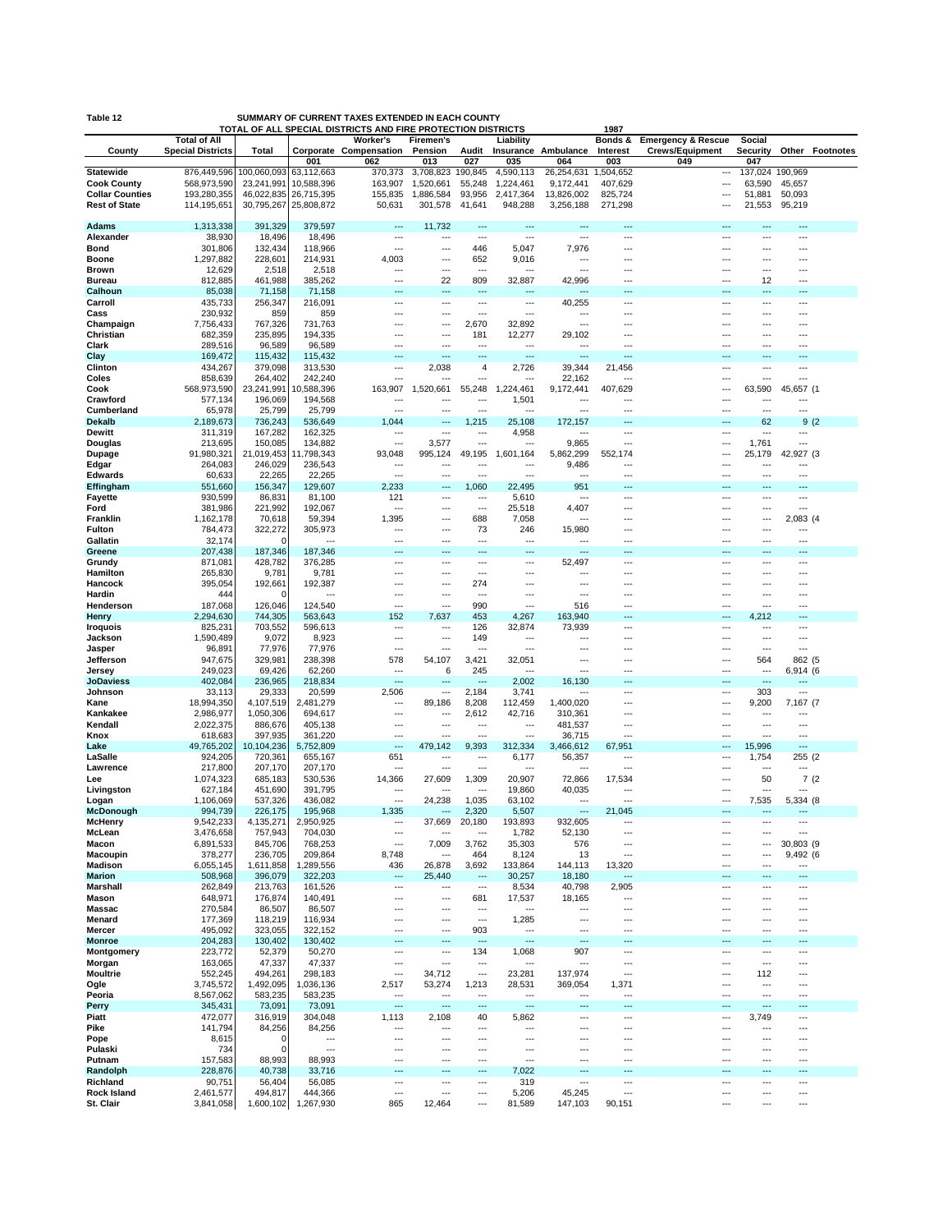| Table 12                                     |                            |                          |                           | SUMMARY OF CURRENT TAXES EXTENDED IN EACH COUNTY                         |                        |                          |                          |                          |                           |                               |                                 |                          |                        |
|----------------------------------------------|----------------------------|--------------------------|---------------------------|--------------------------------------------------------------------------|------------------------|--------------------------|--------------------------|--------------------------|---------------------------|-------------------------------|---------------------------------|--------------------------|------------------------|
|                                              | <b>Total of All</b>        |                          |                           | TOTAL OF ALL SPECIAL DISTRICTS AND FIRE PROTECTION DISTRICTS<br>Worker's | <b>Firemen's</b>       |                          | Liability                |                          | 1987<br>Bonds &           | <b>Emergency &amp; Rescue</b> | Social                          |                          |                        |
| County                                       | <b>Special Districts</b>   | Total                    |                           | Corporate Compensation                                                   | Pension                | Audit                    |                          | Insurance Ambulance      | Interest                  | <b>Crews/Equipment</b>        | Security                        |                          | <b>Other Footnotes</b> |
|                                              |                            |                          | 001                       | 062                                                                      | 013                    | 027                      | 035                      | 064                      | 003                       | 049                           | 047                             |                          |                        |
| <b>Statewide</b>                             | 876,449,596                | 100,060,093              | 63,112,663                | 370,373                                                                  | 3,708,823              | 190,845                  | 4,590,113                | 26,254,631               | 1,504,652                 | ---                           | 137,024 190,969                 |                          |                        |
| <b>Cook County</b><br><b>Collar Counties</b> | 568,973,590<br>193,280,355 | 23,241,991<br>46,022,835 | 10,588,396<br>26,715,395  | 163,907<br>155,835                                                       | 1,520,661<br>1,886,584 | 55,248<br>93,956         | 1,224,461<br>2,417,364   | 9,172,441<br>13,826,002  | 407,629<br>825,724        | ---<br>---                    | 63,590<br>51,881                | 45,657<br>50,093         |                        |
| <b>Rest of State</b>                         | 114,195,651                | 30,795,267               | 25,808,872                | 50,631                                                                   | 301,578                | 41,641                   | 948,288                  | 3,256,188                | 271,298                   | ---                           | 21,553                          | 95,219                   |                        |
|                                              |                            |                          |                           |                                                                          |                        |                          |                          |                          |                           |                               |                                 |                          |                        |
| <b>Adams</b>                                 | 1,313,338                  | 391,329                  | 379,597                   |                                                                          | 11,732                 | ---                      | $\sim$                   | $\sim$                   | $\overline{a}$            | ---                           | ---                             | ---                      |                        |
| Alexander                                    | 38,930                     | 18,496                   | 18,496                    | ---                                                                      | ---                    | $\overline{a}$           | ---                      | ---                      | $--$                      | ---                           | ---                             | ---                      |                        |
| Bond<br><b>Boone</b>                         | 301,806<br>1,297,882       | 132,434<br>228,601       | 118,966<br>214,931        | ---<br>4,003                                                             | …<br>---               | 446<br>652               | 5,047<br>9,016           | 7,976<br>---             | ---                       | ---                           |                                 | ---                      |                        |
| <b>Brown</b>                                 | 12,629                     | 2,518                    | 2,518                     | ---                                                                      |                        | ---                      |                          | ---                      | ---                       | ---                           | ---                             | ---                      |                        |
| <b>Bureau</b>                                | 812,885                    | 461,988                  | 385,262                   | ---                                                                      | 22                     | 809                      | 32,887                   | 42,996                   | ---                       |                               | 12                              | ---                      |                        |
| Calhoun                                      | 85,038                     | 71,158                   | 71,158                    | ---                                                                      | ---                    | ---                      | ---                      | $-$                      | ---                       | ---                           | ---                             | ---                      |                        |
| Carroll                                      | 435,733                    | 256,347                  | 216,091                   | ---                                                                      | ---                    | ---                      | $\overline{a}$           | 40,255                   | ---                       | ---                           | ---                             | ---                      |                        |
| Cass                                         | 230,932<br>7,756,433       | 859<br>767,326           | 859<br>731,763            | ---<br>---                                                               | …<br>…                 | ---<br>2,670             | ---<br>32,892            | ---<br>---               | ---<br>---                | ---<br>---                    | ---<br>---                      | ---<br>---               |                        |
| Champaign<br>Christian                       | 682,359                    | 235,895                  | 194,335                   | ---                                                                      | ---                    | 181                      | 12,277                   | 29,102                   | ---                       | ---                           | ---                             | ---                      |                        |
| Clark                                        | 289,516                    | 96,589                   | 96,589                    | ---                                                                      |                        | ---                      | ---                      | ---                      | $\overline{a}$            | ---                           |                                 | ---                      |                        |
| Clay                                         | 169,472                    | 115,432                  | 115,432                   | ---                                                                      |                        | ---                      | ---                      | ---                      | ---                       |                               | ---                             | ---                      |                        |
| Clinton                                      | 434,267                    | 379,098                  | 313,530                   | ---                                                                      | 2,038                  | 4                        | 2,726                    | 39,344                   | 21,456                    | ---                           | ---                             | ---                      |                        |
| Coles                                        | 858,639                    | 264,402                  | 242,240                   | ---                                                                      |                        | $\overline{a}$<br>55,248 | $\sim$                   | 22,162                   | $\sim$                    | ---<br>---                    | $\overline{a}$<br>63,590        | $\overline{a}$           |                        |
| Cook<br>Crawford                             | 568,973,590<br>577,134     | 23,241,991<br>196,069    | 10,588,396<br>194,568     | 163,907                                                                  | 1,520,661              |                          | 1,224,461<br>1,501       | 9,172,441                | 407,629                   |                               |                                 | 45,657 (1                |                        |
| Cumberland                                   | 65,978                     | 25,799                   | 25,799                    | ---                                                                      | …                      |                          |                          | ---                      | ---                       | ---                           | ---                             | ---                      |                        |
| <b>Dekalb</b>                                | 2,189,673                  | 736,243                  | 536,649                   | 1,044                                                                    | ---                    | 1,215                    | 25,108                   | 172.157                  | ---                       | ---                           | 62                              | 9(2)                     |                        |
| Dewitt                                       | 311,319                    | 167,282                  | 162,325                   | ---                                                                      | ÷÷.                    | ---                      | 4,958                    | ---                      | ---                       | ---                           |                                 | ---                      |                        |
| <b>Douglas</b>                               | 213,695                    | 150,085                  | 134,882                   | $\sim$                                                                   | 3,577                  | $\sim$                   | ---                      | 9,865                    | $\overline{a}$            | ---                           | 1,761                           | ---                      |                        |
| Dupage                                       | 91,980,321<br>264,083      | 21,019,453<br>246,029    | 11,798,343<br>236,543     | 93,048<br>---                                                            | 995,124                | 49,195<br>---            | 1,601,164                | 5,862,299<br>9,486       | 552,174<br>$\overline{a}$ | ---<br>---                    | 25,179                          | 42,927 (3                |                        |
| Edgar<br><b>Edwards</b>                      | 60,633                     | 22,265                   | 22,265                    | ---                                                                      | …                      | ---                      | $\overline{a}$           | $\overline{a}$           | ---                       | ---                           | ---                             | ---                      |                        |
| Effingham                                    | 551,660                    | 156,347                  | 129,607                   | 2,233                                                                    | ---                    | 1,060                    | 22,495                   | 951                      | ---                       | ---                           | ---                             |                          |                        |
| <b>Fayette</b>                               | 930,599                    | 86,831                   | 81,100                    | 121                                                                      | ---                    | ---                      | 5,610                    | ---                      | ---                       | ---                           | ---                             | ---                      |                        |
| Ford                                         | 381,986                    | 221,992                  | 192,067                   | ---                                                                      |                        | $\sim$                   | 25,518                   | 4,407                    | ---                       | ---                           |                                 | ---                      |                        |
| Franklin                                     | 1,162,178<br>784,473       | 70,618                   | 59,394                    | 1,395<br>---                                                             | ---<br>                | 688                      | 7,058                    | ---                      | Ξ.<br>$\sim$              | <br>$\overline{a}$            | ---<br>                         | 2,083 (4<br>---          |                        |
| Fulton<br>Gallatin                           | 32,174                     | 322,272<br>U             | 305,973                   | ---                                                                      | …                      | 73<br>---                | 246<br>---               | 15,980                   | ---                       | ---                           | ---                             | ---                      |                        |
| Greene                                       | 207,438                    | 187,346                  | 187,346                   |                                                                          |                        | ---                      | ---                      |                          |                           |                               |                                 |                          |                        |
| Grundy                                       | 871,081                    | 428,782                  | 376,285                   | $--$                                                                     | ---                    | ---                      | $\overline{a}$           | 52,497                   | ---                       | ---                           | ---                             | ---                      |                        |
| Hamilton                                     | 265,830                    | 9,781                    | 9,781                     | ---                                                                      | …                      | $\overline{a}$           | ---                      | ---                      | ---                       | ---                           | ---                             | ---                      |                        |
| Hancock                                      | 395,054                    | 192,661                  | 192,387<br>$\overline{a}$ | $\overline{a}$                                                           |                        | 274<br>$\overline{a}$    | $\sim$                   | $\overline{a}$           | $\overline{a}$            | ---                           | $\overline{a}$                  | ---                      |                        |
| Hardin<br>Henderson                          | 444<br>187,068             | n<br>126,046             | 124,540                   | ---<br>---                                                               | …<br>                  | 990                      | ---<br>---               | ---<br>516               | ---<br>---                | ---<br>---                    | ---<br>                         | ---<br>---               |                        |
| Henry                                        | 2,294,630                  | 744,305                  | 563,643                   | 152                                                                      | 7,637                  | 453                      | 4,267                    | 163,940                  | $\overline{a}$            | …                             | 4,212                           | ---                      |                        |
| <b>Iroquois</b>                              | 825,231                    | 703,552                  | 596,613                   | $\sim$                                                                   | ---                    | 126                      | 32,874                   | 73,939                   | ---                       | ---                           | $\cdots$                        | ---                      |                        |
| Jackson                                      | 1,590,489                  | 9,072                    | 8,923                     | ---                                                                      | ---                    | 149                      |                          |                          |                           |                               | ---                             | ---                      |                        |
| Jasper                                       | 96,891                     | 77,976                   | 77,976                    | ---                                                                      | ---                    | ---                      | ---                      | …                        |                           | ---                           |                                 | ---                      |                        |
| Jefferson<br>Jersey                          | 947,675<br>249,023         | 329,981<br>69,426        | 238,398<br>62,260         | 578<br>                                                                  | 54,107<br>6            | 3,421<br>245             | 32,051                   | ---<br>---               | ---<br>$\overline{a}$     | ---<br>                       | 564<br>                         | 862 (5<br>6,914 (6       |                        |
| <b>JoDaviess</b>                             | 402,084                    | 236,965                  | 218,834                   | $\sim$                                                                   |                        | ---                      | 2,002                    | 16,130                   | $\overline{a}$            |                               | $\overline{a}$                  | ---                      |                        |
| Johnson                                      | 33,113                     | 29,333                   | 20,599                    | 2,506                                                                    |                        | 2,184                    | 3,741                    | ---                      | ---                       | ---                           | 303                             | ---                      |                        |
| Kane                                         | 18,994,350                 | 4,107,519                | 2,481,279                 | ---                                                                      | 89,186                 | 8,208                    | 112,459                  | 1,400,020                |                           |                               | 9,200                           | 7,167 (7                 |                        |
| Kankakee                                     | 2,986,977                  | 1,050,306                | 694,617                   | ---                                                                      | …                      | 2,612                    | 42,716                   | 310,361                  | ---                       | ---                           | ---                             | ---                      |                        |
| Kendall<br>Knox                              | 2,022,375<br>618,683       | 886,676<br>397,935       | 405,138<br>361,220        | ---<br>$\sim$                                                            | ---<br>                | ---<br>$\sim$            | $--$<br>$\sim$           | 481,537<br>36,715        | ---<br>$\sim$             | ---<br>$\sim$                 | ---<br>$\sim$                   | ---<br>$\sim$            |                        |
| Lake                                         | 49,765,202                 | 10,104,236               | 5,752,809                 | ---                                                                      | 479,142                | 9,393                    | 312,334                  | 3,466,612                | 67,951                    | ---                           | 15,996                          | $\overline{a}$           |                        |
| LaSalle                                      | 924,205                    | 720,361                  | 655,167                   | 651                                                                      | ---                    | ---                      | 6,177                    | 56,357                   | ---                       | ---                           | 1,754                           | 255 (2                   |                        |
| Lawrence                                     | 217,800                    | 207,170                  | 207,170                   | ---                                                                      | ---                    | ---                      |                          | ---                      | $\overline{a}$            | ---                           |                                 |                          |                        |
| Lee                                          | 1,074,323                  | 685,183                  | 530,536                   | 14,366                                                                   | 27,609                 | 1,309<br>---             | 20,907                   | 72,866                   | 17,534<br>---             | ---                           | 50<br>---                       | 7(2)<br>---              |                        |
| Livingston<br>Logan                          | 627,184<br>1,106,069       | 451,690<br>537,326       | 391,795<br>436,082        | ---<br>$\sim$                                                            | ---<br>24,238          | 1,035                    | 19,860<br>63,102         | 40,035<br>$\overline{a}$ | $---$                     | ---<br>---                    | 7,535                           | 5,334 (8)                |                        |
| McDonough                                    | 994,739                    | 226,175                  | 195,968                   | 1.335                                                                    |                        | 2.320                    | 5,507                    |                          | 21.<br>045                |                               |                                 |                          |                        |
| <b>McHenry</b>                               | 9,542,233                  | 4,135,271                | 2,950,925                 | ---                                                                      | 37,669                 | 20,180                   | 193,893                  | 932,605                  | ---                       | ---                           |                                 | ---                      |                        |
| McLean                                       | 3,476,658                  | 757,943                  | 704,030                   | $\sim$                                                                   | ---                    | $\overline{a}$           | 1,782                    | 52,130                   | $\overline{a}$            | ---                           | ---                             | $\overline{a}$           |                        |
| Macon<br>Macoupin                            | 6,891,533<br>378,277       | 845,706<br>236,705       | 768,253<br>209,864        | ---<br>8,748                                                             | 7,009<br>              | 3,762<br>464             | 35,303<br>8,124          | 576<br>13                | ---<br>---                | ---                           | ---                             | 30,803 (9<br>9,492 (6    |                        |
| Madison                                      | 6,055,145                  | 1,611,858                | 1,289,556                 | 436                                                                      | 26,878                 | 3,692                    | 133,864                  | 144,113                  | 13,320                    | ---                           | ---                             | $\overline{\phantom{a}}$ |                        |
| <b>Marion</b>                                | 508,968                    | 396,079                  | 322,203                   | ---                                                                      | 25,440                 | ---                      | 30,257                   | 18,180                   | ---                       | ---                           |                                 | ---                      |                        |
| Marshall                                     | 262,849                    | 213,763                  | 161,526                   | ---                                                                      | ---                    | ---                      | 8,534                    | 40,798                   | 2,905                     | ---                           | ---                             | ---                      |                        |
| Mason                                        | 648,971                    | 176,874                  | 140,491                   | ---                                                                      | ---                    | 681                      | 17,537                   | 18,165                   | $\overline{a}$            | ---                           | ---                             | ---                      |                        |
| <b>Massac</b><br>Menard                      | 270,584<br>177,369         | 86,507<br>118,219        | 86,507<br>116,934         | …<br>---                                                                 | …<br>                  | ---<br>---               | 1,285                    | ---<br>---               | ---<br>---                | <br>---                       | <br>---                         | ---                      |                        |
| Mercer                                       | 495,092                    | 323,055                  | 322,152                   | ---                                                                      | ---                    | 903                      | ---                      | ---                      | ---                       | ---                           | ---                             | ---                      |                        |
| <b>Monroe</b>                                | 204,283                    | 130,402                  | 130,402                   |                                                                          |                        | ---                      | ---                      |                          |                           |                               |                                 |                          |                        |
| Montgomery                                   | 223,772                    | 52,379                   | 50,270                    | $\ddotsc$                                                                | ---                    | 134                      | 1,068                    | 907                      | ---                       | ---                           | ---                             | ---                      |                        |
| Morgan                                       | 163,065                    | 47,337                   | 47,337                    | ---                                                                      | ---                    | ---                      | ---                      | ---                      | ---                       | ---                           | ---                             | ---                      |                        |
| <b>Moultrie</b>                              | 552,245                    | 494,261                  | 298,183                   | ---                                                                      | 34,712                 | $\overline{\phantom{a}}$ | 23,281                   | 137,974                  | ---                       | ---                           | 112                             |                          |                        |
| Ogle<br>Peoria                               | 3,745,572<br>8,567,062     | 1,492,095<br>583,235     | 1,036,136<br>583,235      | 2,517<br>$\overline{\phantom{a}}$                                        | 53,274<br>---          | 1,213<br>---             | 28,531<br>---            | 369,054<br>---           | 1,371<br>---              | ---<br>---                    | ---<br>$\overline{\phantom{a}}$ | ---<br>---               |                        |
| Perry                                        | 345,431                    | 73,091                   | 73,091                    | ---                                                                      | ---                    | ---                      | …                        | ---                      | ---                       | ---                           | ---                             | ---                      |                        |
| Piatt                                        | 472,077                    | 316,919                  | 304,048                   | 1,113                                                                    | 2,108                  | 40                       | 5,862                    | ---                      | ---                       | ---                           | 3,749                           | ---                      |                        |
| Pike                                         | 141,794                    | 84,256                   | 84,256                    | ---                                                                      | …                      | ---                      | $\overline{\phantom{a}}$ | ---                      | ---                       | ---                           | ---                             | ---                      |                        |
| Pope                                         | 8,615                      | 0                        | $\overline{a}$            |                                                                          |                        | ---                      | ---                      | ---                      | $\overline{a}$            | ---                           |                                 | ---                      |                        |
| Pulaski<br>Putnam                            | 734<br>157,583             | 0<br>88,993              | ---<br>88,993             | ---<br>---                                                               | …<br>---               | ---<br>---               | ---<br>---               | ---<br>---               | ---<br>---                | ---<br>---                    | ---<br>---                      | ---<br>---               |                        |
| Randolph                                     | 228,876                    | 40,738                   | 33,716                    | ---                                                                      |                        | ---                      | 7,022                    | ---                      | ÷÷                        | ---                           | ---                             | ---                      |                        |
| Richland                                     | 90,751                     | 56,404                   | 56,085                    | ---                                                                      | ---                    | ---                      | 319                      | ---                      | ---                       | ---                           | ---                             | ---                      |                        |
| <b>Rock Island</b>                           | 2,461,577                  | 494,817                  | 444,366                   | ---                                                                      | ---                    | ---                      | 5,206                    | 45,245                   | ---                       | ---                           | ---                             | ---                      |                        |
| St. Clair                                    | 3,841,058                  | 1,600,102                | 1,267,930                 | 865                                                                      | 12,464                 | ---                      | 81,589                   | 147,103                  | 90,151                    | $\overline{a}$                | ---                             | $\overline{a}$           |                        |